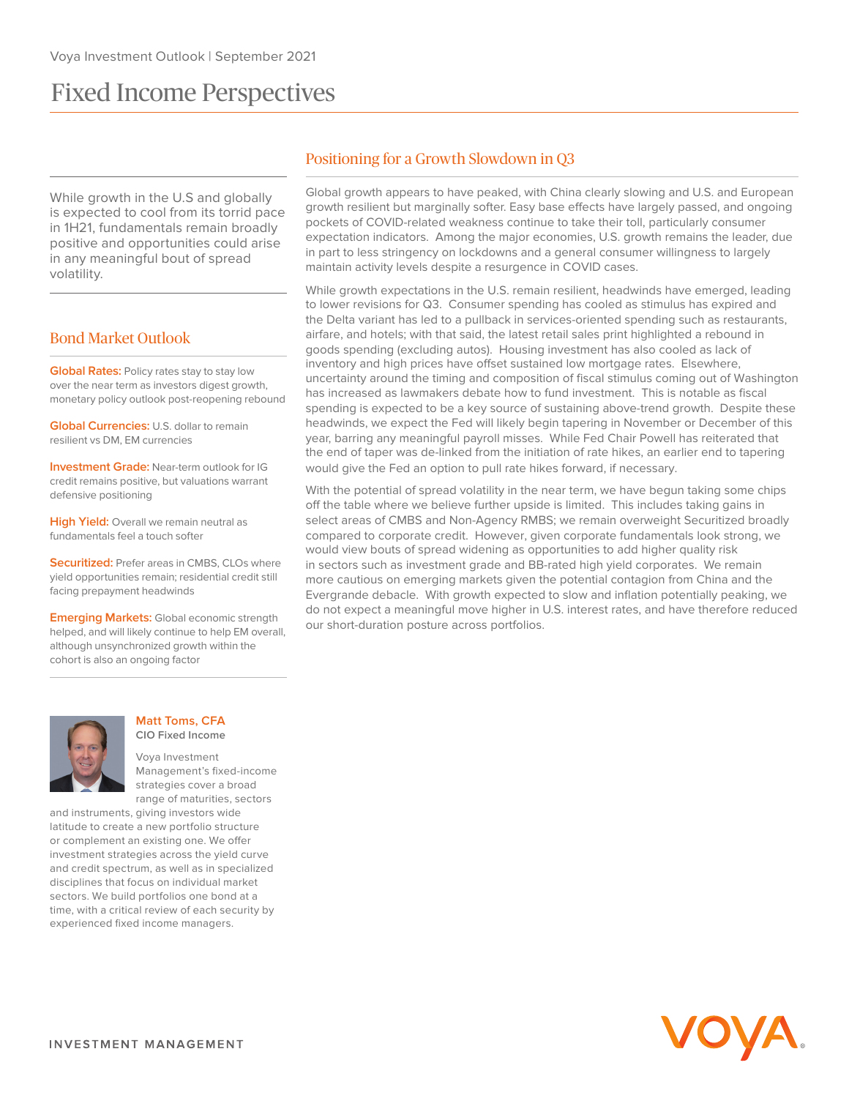# Fixed Income Perspectives

While growth in the U.S and globally is expected to cool from its torrid pace in 1H21, fundamentals remain broadly positive and opportunities could arise in any meaningful bout of spread volatility.

## Bond Market Outlook

**Global Rates:** Policy rates stay to stay low over the near term as investors digest growth, monetary policy outlook post-reopening rebound

**Global Currencies:** U.S. dollar to remain resilient vs DM, EM currencies

**Investment Grade:** Near-term outlook for IG credit remains positive, but valuations warrant defensive positioning

**High Yield:** Overall we remain neutral as fundamentals feel a touch softer

**Securitized:** Prefer areas in CMBS, CLOs where yield opportunities remain; residential credit still facing prepayment headwinds

**Emerging Markets:** Global economic strength helped, and will likely continue to help EM overall, although unsynchronized growth within the cohort is also an ongoing factor



Global growth appears to have peaked, with China clearly slowing and U.S. and European growth resilient but marginally softer. Easy base effects have largely passed, and ongoing pockets of COVID-related weakness continue to take their toll, particularly consumer expectation indicators. Among the major economies, U.S. growth remains the leader, due in part to less stringency on lockdowns and a general consumer willingness to largely maintain activity levels despite a resurgence in COVID cases.

While growth expectations in the U.S. remain resilient, headwinds have emerged, leading to lower revisions for Q3. Consumer spending has cooled as stimulus has expired and the Delta variant has led to a pullback in services-oriented spending such as restaurants, airfare, and hotels; with that said, the latest retail sales print highlighted a rebound in goods spending (excluding autos). Housing investment has also cooled as lack of inventory and high prices have offset sustained low mortgage rates. Elsewhere, uncertainty around the timing and composition of fiscal stimulus coming out of Washington has increased as lawmakers debate how to fund investment. This is notable as fiscal spending is expected to be a key source of sustaining above-trend growth. Despite these headwinds, we expect the Fed will likely begin tapering in November or December of this year, barring any meaningful payroll misses. While Fed Chair Powell has reiterated that the end of taper was de-linked from the initiation of rate hikes, an earlier end to tapering would give the Fed an option to pull rate hikes forward, if necessary.

With the potential of spread volatility in the near term, we have begun taking some chips off the table where we believe further upside is limited. This includes taking gains in select areas of CMBS and Non-Agency RMBS; we remain overweight Securitized broadly compared to corporate credit. However, given corporate fundamentals look strong, we would view bouts of spread widening as opportunities to add higher quality risk in sectors such as investment grade and BB-rated high yield corporates. We remain more cautious on emerging markets given the potential contagion from China and the Evergrande debacle. With growth expected to slow and inflation potentially peaking, we do not expect a meaningful move higher in U.S. interest rates, and have therefore reduced our short-duration posture across portfolios.



#### **Matt Toms, CFA CIO Fixed Income**

Voya Investment Management's fixed-income strategies cover a broad range of maturities, sectors

and instruments, giving investors wide latitude to create a new portfolio structure or complement an existing one. We offer investment strategies across the yield curve and credit spectrum, as well as in specialized disciplines that focus on individual market sectors. We build portfolios one bond at a time, with a critical review of each security by experienced fixed income managers.

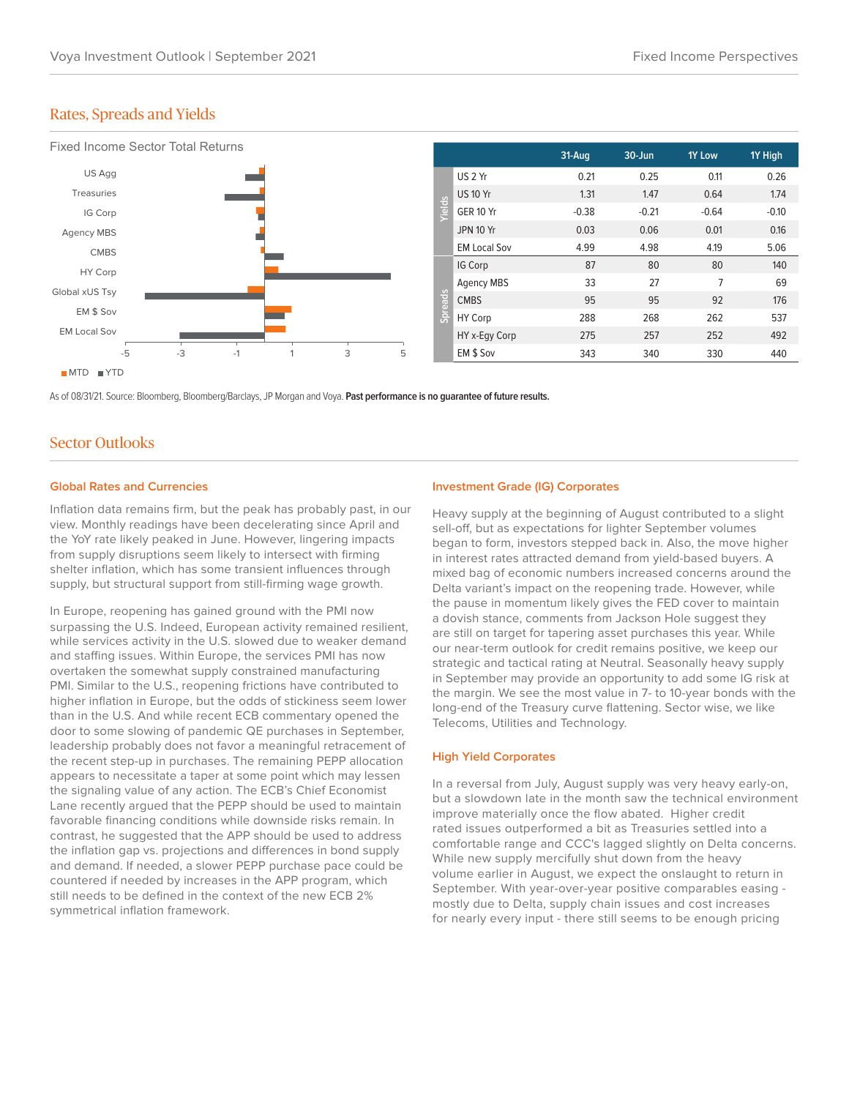## Rates, Spreads and Yields



As of 08/31/21. Source: Bloomberg, Bloomberg/Barclays, JP Morgan and Voya. **Past performance is no guarantee of future results.**

## Sector Outlooks

#### **Global Rates and Currencies**

Inflation data remains firm, but the peak has probably past, in our view. Monthly readings have been decelerating since April and the YoY rate likely peaked in June. However, lingering impacts from supply disruptions seem likely to intersect with firming shelter inflation, which has some transient influences through supply, but structural support from still-firming wage growth.

In Europe, reopening has gained ground with the PMI now surpassing the U.S. Indeed, European activity remained resilient, while services activity in the U.S. slowed due to weaker demand and staffing issues. Within Europe, the services PMI has now overtaken the somewhat supply constrained manufacturing PMI. Similar to the U.S., reopening frictions have contributed to higher inflation in Europe, but the odds of stickiness seem lower than in the U.S. And while recent ECB commentary opened the door to some slowing of pandemic QE purchases in September, leadership probably does not favor a meaningful retracement of the recent step-up in purchases. The remaining PEPP allocation appears to necessitate a taper at some point which may lessen the signaling value of any action. The ECB's Chief Economist Lane recently argued that the PEPP should be used to maintain favorable financing conditions while downside risks remain. In contrast, he suggested that the APP should be used to address the inflation gap vs. projections and differences in bond supply and demand. If needed, a slower PEPP purchase pace could be countered if needed by increases in the APP program, which still needs to be defined in the context of the new ECB 2% symmetrical inflation framework.

### **Investment Grade (IG) Corporates**

Heavy supply at the beginning of August contributed to a slight sell-off, but as expectations for lighter September volumes began to form, investors stepped back in. Also, the move higher in interest rates attracted demand from yield-based buyers. A mixed bag of economic numbers increased concerns around the Delta variant's impact on the reopening trade. However, while the pause in momentum likely gives the FED cover to maintain a dovish stance, comments from Jackson Hole suggest they are still on target for tapering asset purchases this year. While our near-term outlook for credit remains positive, we keep our strategic and tactical rating at Neutral. Seasonally heavy supply in September may provide an opportunity to add some IG risk at the margin. We see the most value in 7- to 10-year bonds with the long-end of the Treasury curve flattening. Sector wise, we like Telecoms, Utilities and Technology.

#### **High Yield Corporates**

In a reversal from July, August supply was very heavy early-on, but a slowdown late in the month saw the technical environment improve materially once the flow abated. Higher credit rated issues outperformed a bit as Treasuries settled into a comfortable range and CCC's lagged slightly on Delta concerns. While new supply mercifully shut down from the heavy volume earlier in August, we expect the onslaught to return in September. With year-over-year positive comparables easing mostly due to Delta, supply chain issues and cost increases for nearly every input - there still seems to be enough pricing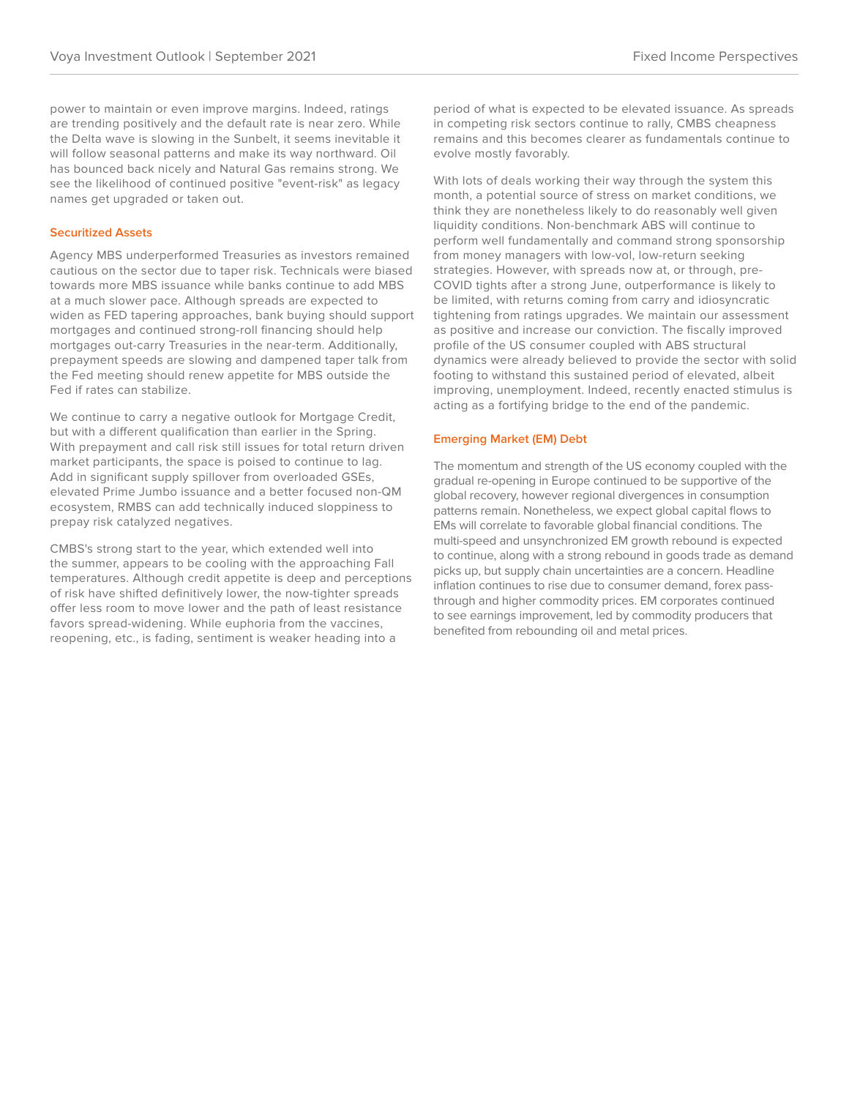power to maintain or even improve margins. Indeed, ratings are trending positively and the default rate is near zero. While the Delta wave is slowing in the Sunbelt, it seems inevitable it will follow seasonal patterns and make its way northward. Oil has bounced back nicely and Natural Gas remains strong. We see the likelihood of continued positive "event-risk" as legacy names get upgraded or taken out.

#### **Securitized Assets**

Agency MBS underperformed Treasuries as investors remained cautious on the sector due to taper risk. Technicals were biased towards more MBS issuance while banks continue to add MBS at a much slower pace. Although spreads are expected to widen as FED tapering approaches, bank buying should support mortgages and continued strong-roll financing should help mortgages out-carry Treasuries in the near-term. Additionally, prepayment speeds are slowing and dampened taper talk from the Fed meeting should renew appetite for MBS outside the Fed if rates can stabilize.

We continue to carry a negative outlook for Mortgage Credit, but with a different qualification than earlier in the Spring. With prepayment and call risk still issues for total return driven market participants, the space is poised to continue to lag. Add in significant supply spillover from overloaded GSEs, elevated Prime Jumbo issuance and a better focused non-QM ecosystem, RMBS can add technically induced sloppiness to prepay risk catalyzed negatives.

CMBS's strong start to the year, which extended well into the summer, appears to be cooling with the approaching Fall temperatures. Although credit appetite is deep and perceptions of risk have shifted definitively lower, the now-tighter spreads offer less room to move lower and the path of least resistance favors spread-widening. While euphoria from the vaccines, reopening, etc., is fading, sentiment is weaker heading into a

period of what is expected to be elevated issuance. As spreads in competing risk sectors continue to rally, CMBS cheapness remains and this becomes clearer as fundamentals continue to evolve mostly favorably.

With lots of deals working their way through the system this month, a potential source of stress on market conditions, we think they are nonetheless likely to do reasonably well given liquidity conditions. Non-benchmark ABS will continue to perform well fundamentally and command strong sponsorship from money managers with low-vol, low-return seeking strategies. However, with spreads now at, or through, pre-COVID tights after a strong June, outperformance is likely to be limited, with returns coming from carry and idiosyncratic tightening from ratings upgrades. We maintain our assessment as positive and increase our conviction. The fiscally improved profile of the US consumer coupled with ABS structural dynamics were already believed to provide the sector with solid footing to withstand this sustained period of elevated, albeit improving, unemployment. Indeed, recently enacted stimulus is acting as a fortifying bridge to the end of the pandemic.

#### **Emerging Market (EM) Debt**

The momentum and strength of the US economy coupled with the gradual re-opening in Europe continued to be supportive of the global recovery, however regional divergences in consumption patterns remain. Nonetheless, we expect global capital flows to EMs will correlate to favorable global financial conditions. The multi-speed and unsynchronized EM growth rebound is expected to continue, along with a strong rebound in goods trade as demand picks up, but supply chain uncertainties are a concern. Headline inflation continues to rise due to consumer demand, forex passthrough and higher commodity prices. EM corporates continued to see earnings improvement, led by commodity producers that benefited from rebounding oil and metal prices.